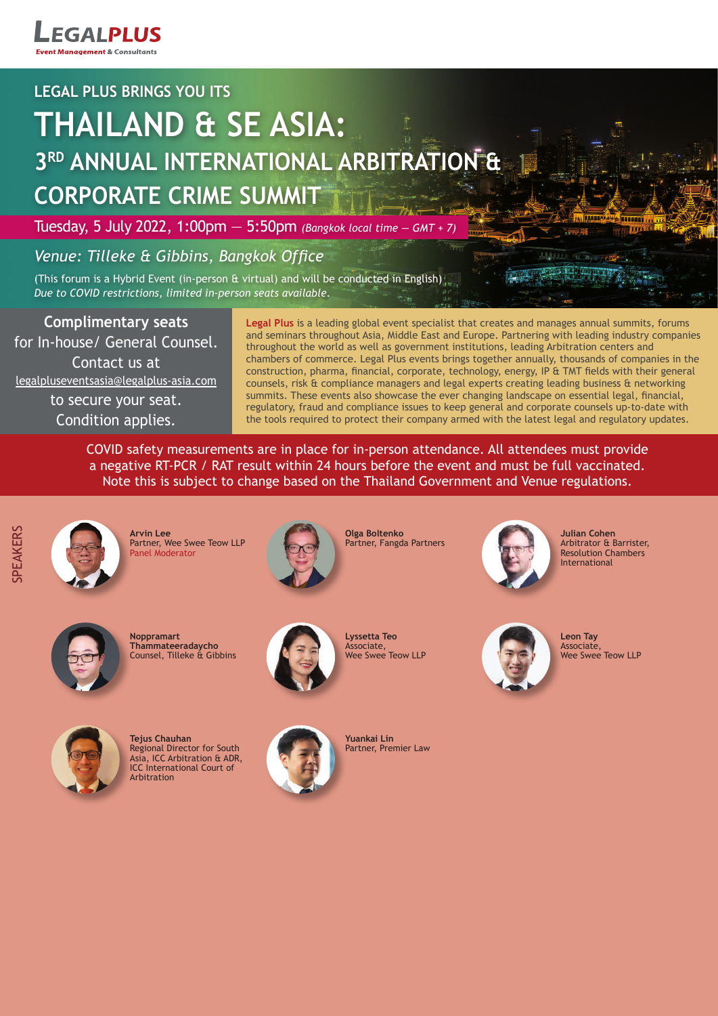**EGALPLUS** t Management & Consultants

# **LEGAL PLUS BRINGS YOU ITS**

# **THAILAND & SE ASIA: 3RD ANNUAL INTERNATIONAL ARBITRATION & CORPORATE CRIME SUMMIT**

Tuesday, 5 July 2022, 1:00pm — 5:50pm *(Bangkok local time — GMT + 7)*

# *Venue: Tilleke & Gibbins, Bangkok Office*

(This forum is a Hybrid Event (in-person  $6$  virtual) and will be conducted in English) *Due to COVID restrictions, limited in-person seats available.*

**Complimentary seats** for In-house/ General Counsel. Contact us at legalpluseventsasia@legalplus-asia.com to secure your seat. Condition applies.

**Legal Plus** is a leading global event specialist that creates and manages annual summits, forums and seminars throughout Asia, Middle East and Europe. Partnering with leading industry companies throughout the world as well as government institutions, leading Arbitration centers and chambers of commerce. Legal Plus events brings together annually, thousands of companies in the construction, pharma, financial, corporate, technology, energy, IP & TMT fields with their general counsels, risk & compliance managers and legal experts creating leading business & networking summits. These events also showcase the ever changing landscape on essential legal, financial, regulatory, fraud and compliance issues to keep general and corporate counsels up-to-date with the tools required to protect their company armed with the latest legal and regulatory updates.

COVID safety measurements are in place for in-person attendance. All attendees must provide a negative RT-PCR / RAT result within 24 hours before the event and must be full vaccinated. Note this is subject to change based on the Thailand Government and Venue regulations.

**PEAKERS** SPEAKERS

**Arvin Lee** Partner, Wee Swee Teow LLP Panel Moderator



**Olga Boltenko** Partner, Fangda Partners



**Julian Cohen** Arbitrator & Barrister, Resolution Chambers **International** 



**Noppramart Thammateeradaycho** Counsel, Tilleke & Gibbins



**Tejus Chauhan** Regional Director for South Asia, ICC Arbitration & ADR, ICC International Court of Arbitration



**Lyssetta Teo** Associate, Wee Swee Teow LLP



**Yuankai Lin** Partner, Premier Law



**Leon Tay** Associate, Wee Swee Teow LLP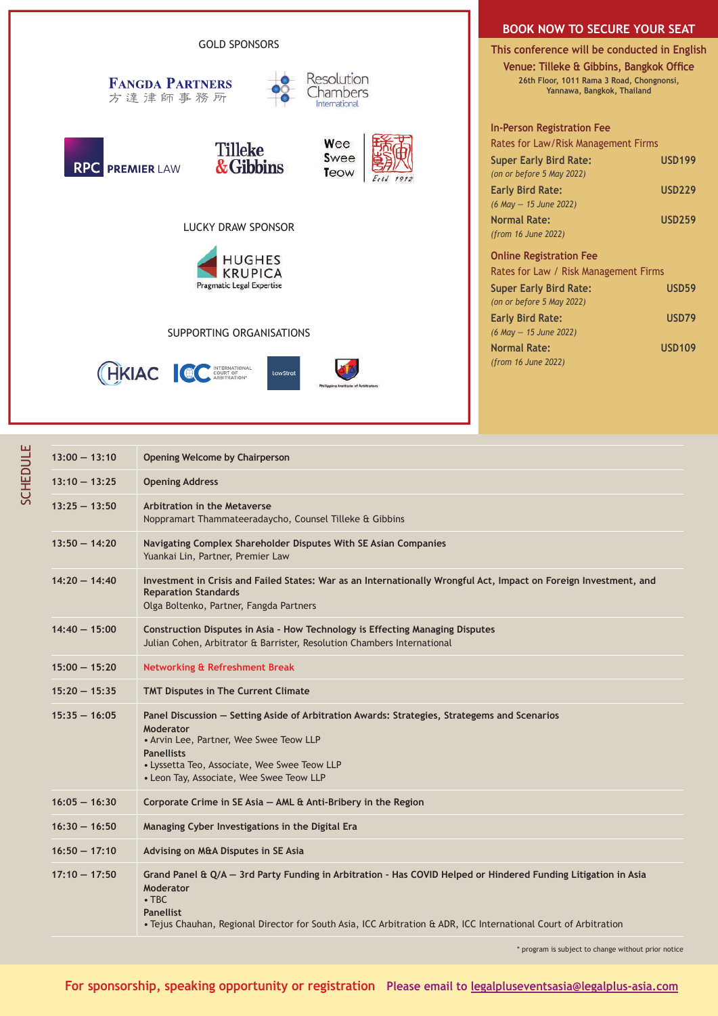

### **BOOK NOW TO SECURE YOUR SEAT**

**This conference will be conducted in English Venue: Tilleke & Gibbins, Bangkok Office 26th Floor, 1011 Rama 3 Road, Chongnonsi, Yannawa, Bangkok, Thailand**

| In-Person Registration Fee            |               |
|---------------------------------------|---------------|
| Rates for Law/Risk Management Firms   |               |
| <b>Super Early Bird Rate:</b>         | <b>USD199</b> |
| (on or before 5 May 2022)             |               |
| <b>Early Bird Rate:</b>               | <b>USD229</b> |
| (6 May - 15 June 2022)                |               |
| <b>Normal Rate:</b>                   | <b>USD259</b> |
| (from 16 June 2022)                   |               |
| <b>Online Registration Fee</b>        |               |
| Rates for Law / Risk Management Firms |               |
| <b>Super Early Bird Rate:</b>         | <b>USD59</b>  |
|                                       |               |

| (on or before 5 May 2022)  |               |
|----------------------------|---------------|
| <b>Early Bird Rate:</b>    | USD79         |
| $(6$ May $- 15$ June 2022) |               |
| <b>Normal Rate:</b>        | <b>USD109</b> |
| (from 16 June 2022)        |               |

| $13:00 - 13:10$ | <b>Opening Welcome by Chairperson</b>                                                                                                                                                                                                                                              |
|-----------------|------------------------------------------------------------------------------------------------------------------------------------------------------------------------------------------------------------------------------------------------------------------------------------|
| $13:10 - 13:25$ | <b>Opening Address</b>                                                                                                                                                                                                                                                             |
| $13:25 - 13:50$ | Arbitration in the Metaverse<br>Noppramart Thammateeradaycho, Counsel Tilleke & Gibbins                                                                                                                                                                                            |
| $13:50 - 14:20$ | Navigating Complex Shareholder Disputes With SE Asian Companies<br>Yuankai Lin, Partner, Premier Law                                                                                                                                                                               |
| $14:20 - 14:40$ | Investment in Crisis and Failed States: War as an Internationally Wrongful Act, Impact on Foreign Investment, and<br><b>Reparation Standards</b><br>Olga Boltenko, Partner, Fangda Partners                                                                                        |
| $14:40 - 15:00$ | Construction Disputes in Asia - How Technology is Effecting Managing Disputes<br>Julian Cohen, Arbitrator & Barrister, Resolution Chambers International                                                                                                                           |
| $15:00 - 15:20$ | <b>Networking &amp; Refreshment Break</b>                                                                                                                                                                                                                                          |
| $15:20 - 15:35$ | <b>TMT Disputes in The Current Climate</b>                                                                                                                                                                                                                                         |
| $15:35 - 16:05$ | Panel Discussion - Setting Aside of Arbitration Awards: Strategies, Strategems and Scenarios<br>Moderator<br>• Arvin Lee, Partner, Wee Swee Teow LLP<br><b>Panellists</b><br>• Lyssetta Teo, Associate, Wee Swee Teow LLP<br>• Leon Tay, Associate, Wee Swee Teow LLP              |
| $16:05 - 16:30$ | Corporate Crime in SE Asia - AML & Anti-Bribery in the Region                                                                                                                                                                                                                      |
| $16:30 - 16:50$ | Managing Cyber Investigations in the Digital Era                                                                                                                                                                                                                                   |
| $16:50 - 17:10$ | Advising on M&A Disputes in SE Asia                                                                                                                                                                                                                                                |
| $17:10 - 17:50$ | Grand Panel & Q/A - 3rd Party Funding in Arbitration - Has COVID Helped or Hindered Funding Litigation in Asia<br>Moderator<br>$\cdot$ TBC<br><b>Panellist</b><br>• Tejus Chauhan, Regional Director for South Asia, ICC Arbitration & ADR, ICC International Court of Arbitration |

\* program is subject to change without prior notice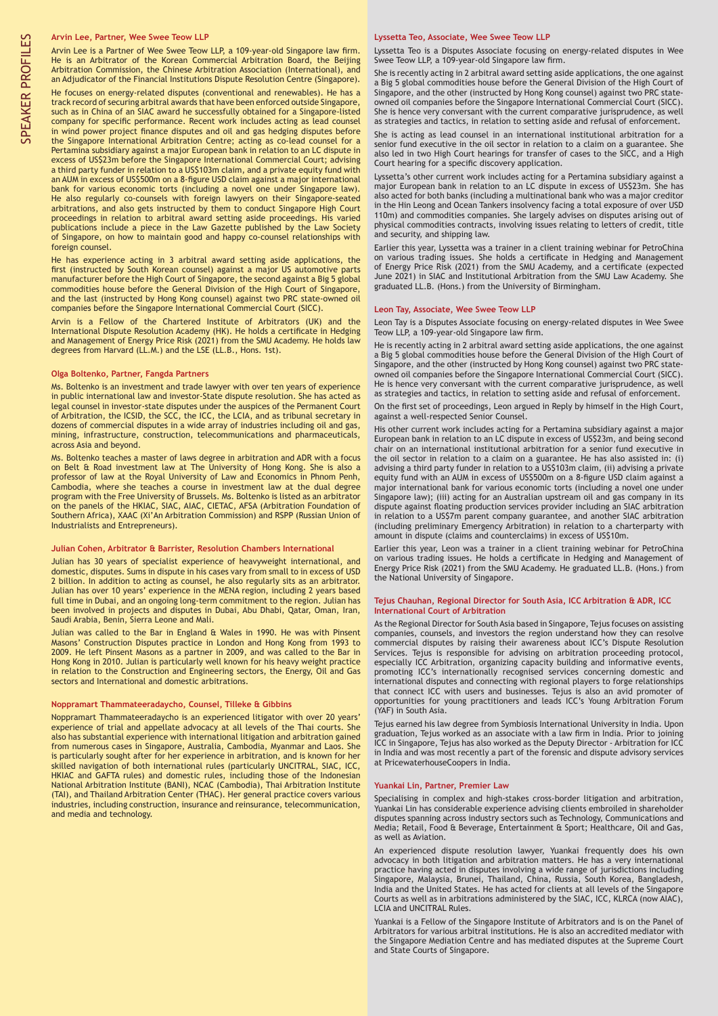### **Arvin Lee, Partner, Wee Swee Teow LLP**

Arvin Lee is a Partner of Wee Swee Teow LLP, a 109-year-old Singapore law firm. He is an Arbitrator of the Korean Commercial Arbitration Board, the Beijing Arbitration Commission, the Chinese Arbitration Association (International), and an Adjudicator of the Financial Institutions Dispute Resolution Centre (Singapore).

He focuses on energy-related disputes (conventional and renewables). He has a track record of securing arbitral awards that have been enforced outside Singapore, such as in China of an SIAC award he successfully obtained for a Singapore-listed company for specific performance. Recent work includes acting as lead counsel in wind power project finance disputes and oil and gas hedging disputes before the Singapore International Arbitration Centre; acting as co-lead counsel for a Pertamina subsidiary against a major European bank in relation to an LC dispute in excess of US\$23m before the Singapore International Commercial Court; advising a third party funder in relation to a US\$103m claim, and a private equity fund with an AUM in excess of US\$500m on a 8-figure USD claim against a major international bank for various economic torts (including a novel one under Singapore law). He also regularly co-counsels with foreign lawyers on their Singapore-seated arbitrations, and also gets instructed by them to conduct Singapore High Court proceedings in relation to arbitral award setting aside proceedings. His varied publications include a piece in the Law Gazette published by the Law Society of Singapore, on how to maintain good and happy co-counsel relationships with foreign counsel.

He has experience acting in 3 arbitral award setting aside applications, the first (instructed by South Korean counsel) against a major US automotive parts manufacturer before the High Court of Singapore, the second against a Big 5 global commodities house before the General Division of the High Court of Singapore, and the last (instructed by Hong Kong counsel) against two PRC state-owned oil companies before the Singapore International Commercial Court (SICC).

Arvin is a Fellow of the Chartered Institute of Arbitrators (UK) and the International Dispute Resolution Academy (HK). He holds a certificate in Hedging and Management of Energy Price Risk (2021) from the SMU Academy. He holds law degrees from Harvard (LL.M.) and the LSE (LL.B., Hons. 1st).

#### **Olga Boltenko, Partner, Fangda Partners**

Ms. Boltenko is an investment and trade lawyer with over ten years of experience in public international law and investor-State dispute resolution. She has acted as legal counsel in investor-state disputes under the auspices of the Permanent Court of Arbitration, the ICSID, the SCC, the ICC, the LCIA, and as tribunal secretary in dozens of commercial disputes in a wide array of industries including oil and gas, mining, infrastructure, construction, telecommunications and pharmaceuticals, across Asia and beyond.

Ms. Boltenko teaches a master of laws degree in arbitration and ADR with a focus on Belt & Road investment law at The University of Hong Kong. She is also a professor of law at the Royal University of Law and Economics in Phnom Penh, Cambodia, where she teaches a course in investment law at the dual degree program with the Free University of Brussels. Ms. Boltenko is listed as an arbitrator on the panels of the HKIAC, SIAC, AIAC, CIETAC, AFSA (Arbitration Foundation of Southern Africa), XAAC (Xi'An Arbitration Commission) and RSPP (Russian Union of Industrialists and Entrepreneurs).

### **Julian Cohen, Arbitrator & Barrister, Resolution Chambers International**

Julian has 30 years of specialist experience of heavyweight international, and domestic, disputes. Sums in dispute in his cases vary from small to in excess of USD 2 billion. In addition to acting as counsel, he also regularly sits as an arbitrator. Julian has over 10 years' experience in the MENA region, including 2 years based full time in Dubai, and an ongoing long-term commitment to the region. Julian has been involved in projects and disputes in Dubai, Abu Dhabi, Qatar, Oman, Iran, Saudi Arabia, Benin, Sierra Leone and Mali.

Julian was called to the Bar in England & Wales in 1990. He was with Pinsent Masons' Construction Disputes practice in London and Hong Kong from 1993 to 2009. He left Pinsent Masons as a partner in 2009, and was called to the Bar in Hong Kong in 2010. Julian is particularly well known for his heavy weight practice in relation to the Construction and Engineering sectors, the Energy, Oil and Gas sectors and International and domestic arbitrations.

### **Noppramart Thammateeradaycho, Counsel, Tilleke & Gibbins**

Noppramart Thammateeradaycho is an experienced litigator with over 20 years' experience of trial and appellate advocacy at all levels of the Thai courts. She also has substantial experience with international litigation and arbitration gained from numerous cases in Singapore, Australia, Cambodia, Myanmar and Laos. She is particularly sought after for her experience in arbitration, and is known for her skilled navigation of both international rules (particularly UNCITRAL, SIAC, ICC, HKIAC and GAFTA rules) and domestic rules, including those of the Indonesian National Arbitration Institute (BANI), NCAC (Cambodia), Thai Arbitration Institute (TAI), and Thailand Arbitration Center (THAC). Her general practice covers various industries, including construction, insurance and reinsurance, telecommunication, and media and technology.

#### **Lyssetta Teo, Associate, Wee Swee Teow LLP**

Lyssetta Teo is a Disputes Associate focusing on energy-related disputes in Wee Swee Teow LLP, a 109-year-old Singapore law firm.

She is recently acting in 2 arbitral award setting aside applications, the one against a Big 5 global commodities house before the General Division of the High Court of Singapore, and the other (instructed by Hong Kong counsel) against two PRC stateowned oil companies before the Singapore International Commercial Court (SICC). She is hence very conversant with the current comparative jurisprudence, as well as strategies and tactics, in relation to setting aside and refusal of enforcement.

She is acting as lead counsel in an international institutional arbitration for a senior fund executive in the oil sector in relation to a claim on a guarantee. She also led in two High Court hearings for transfer of cases to the SICC, and a High Court hearing for a specific discovery application.

Lyssetta's other current work includes acting for a Pertamina subsidiary against a major European bank in relation to an LC dispute in excess of US\$23m. She has also acted for both banks (including a multinational bank who was a major creditor in the Hin Leong and Ocean Tankers insolvency facing a total exposure of over USD 110m) and commodities companies. She largely advises on disputes arising out of physical commodities contracts, involving issues relating to letters of credit, title and security, and shipping law.

Earlier this year, Lyssetta was a trainer in a client training webinar for PetroChina on various trading issues. She holds a certificate in Hedging and Management of Energy Price Risk (2021) from the SMU Academy, and a certificate (expected June 2021) in SIAC and Institutional Arbitration from the SMU Law Academy. She graduated LL.B. (Hons.) from the University of Birmingham.

#### **Leon Tay, Associate, Wee Swee Teow LLP**

Leon Tay is a Disputes Associate focusing on energy-related disputes in Wee Swee Teow LLP, a 109-year-old Singapore law firm.

He is recently acting in 2 arbitral award setting aside applications, the one against a Big 5 global commodities house before the General Division of the High Court of Singapore, and the other (instructed by Hong Kong counsel) against two PRC stateowned oil companies before the Singapore International Commercial Court (SICC). He is hence very conversant with the current comparative jurisprudence, as well as strategies and tactics, in relation to setting aside and refusal of enforcement.

On the first set of proceedings, Leon argued in Reply by himself in the High Court, against a well-respected Senior Counsel.

His other current work includes acting for a Pertamina subsidiary against a major European bank in relation to an LC dispute in excess of US\$23m, and being second chair on an international institutional arbitration for a senior fund executive in the oil sector in relation to a claim on a guarantee. He has also assisted in: (i) advising a third party funder in relation to a US\$103m claim, (ii) advising a private equity fund with an AUM in excess of US\$500m on a 8-figure USD claim against a major international bank for various economic torts (including a novel one under Singapore law); (iii) acting for an Australian upstream oil and gas company in its dispute against floating production services provider including an SIAC arbitration in relation to a US\$7m parent company guarantee, and another SIAC arbitration (including preliminary Emergency Arbitration) in relation to a charterparty with amount in dispute (claims and counterclaims) in excess of US\$10m.

Earlier this year, Leon was a trainer in a client training webinar for PetroChina on various trading issues. He holds a certificate in Hedging and Management of Energy Price Risk (2021) from the SMU Academy. He graduated LL.B. (Hons.) from the National University of Singapore.

#### **Tejus Chauhan, Regional Director for South Asia, ICC Arbitration & ADR, ICC International Court of Arbitration**

As the Regional Director for South Asia based in Singapore, Tejus focuses on assisting companies, counsels, and investors the region understand how they can resolve commercial disputes by raising their awareness about ICC's Dispute Resolution Services. Tejus is responsible for advising on arbitration proceeding protocol, especially ICC Arbitration, organizing capacity building and informative events, promoting ICC's internationally recognised services concerning domestic and international disputes and connecting with regional players to forge relationships that connect ICC with users and businesses. Tejus is also an avid promoter of opportunities for young practitioners and leads ICC's Young Arbitration Forum (YAF) in South Asia.

Tejus earned his law degree from Symbiosis International University in India. Upon graduation, Tejus worked as an associate with a law firm in India. Prior to joining ICC in Singapore, Tejus has also worked as the Deputy Director - Arbitration for ICC in India and was most recently a part of the forensic and dispute advisory services at PricewaterhouseCoopers in India.

### **Yuankai Lin, Partner, Premier Law**

Specialising in complex and high-stakes cross-border litigation and arbitration, Yuankai Lin has considerable experience advising clients embroiled in shareholder disputes spanning across industry sectors such as Technology, Communications and Media; Retail, Food & Beverage, Entertainment & Sport; Healthcare, Oil and Gas, as well as Aviation.

An experienced dispute resolution lawyer, Yuankai frequently does his own advocacy in both litigation and arbitration matters. He has a very international practice having acted in disputes involving a wide range of jurisdictions including Singapore, Malaysia, Brunei, Thailand, China, Russia, South Korea, Bangladesh, India and the United States. He has acted for clients at all levels of the Singapore Courts as well as in arbitrations administered by the SIAC, ICC, KLRCA (now AIAC), LCIA and UNCITRAL Rules.

Yuankai is a Fellow of the Singapore Institute of Arbitrators and is on the Panel of Arbitrators for various arbitral institutions. He is also an accredited mediator with the Singapore Mediation Centre and has mediated disputes at the Supreme Court and State Courts of Singapore.